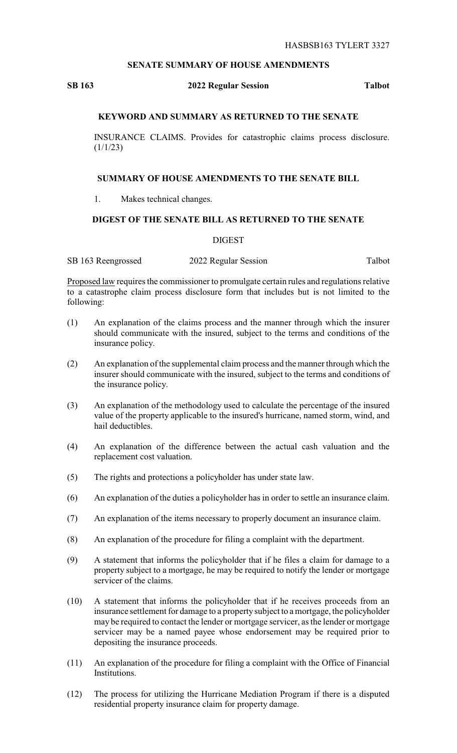## **SENATE SUMMARY OF HOUSE AMENDMENTS**

### **SB 163 2022 Regular Session Talbot**

# **KEYWORD AND SUMMARY AS RETURNED TO THE SENATE**

INSURANCE CLAIMS. Provides for catastrophic claims process disclosure.  $(1/1/23)$ 

#### **SUMMARY OF HOUSE AMENDMENTS TO THE SENATE BILL**

1. Makes technical changes.

## **DIGEST OF THE SENATE BILL AS RETURNED TO THE SENATE**

#### DIGEST

SB 163 Reengrossed 2022 Regular Session Talbot

Proposed law requires the commissioner to promulgate certain rules and regulations relative to a catastrophe claim process disclosure form that includes but is not limited to the following:

- (1) An explanation of the claims process and the manner through which the insurer should communicate with the insured, subject to the terms and conditions of the insurance policy.
- (2) An explanation of the supplemental claim process and the manner through which the insurer should communicate with the insured, subject to the terms and conditions of the insurance policy.
- (3) An explanation of the methodology used to calculate the percentage of the insured value of the property applicable to the insured's hurricane, named storm, wind, and hail deductibles.
- (4) An explanation of the difference between the actual cash valuation and the replacement cost valuation.
- (5) The rights and protections a policyholder has under state law.
- (6) An explanation of the duties a policyholder has in order to settle an insurance claim.
- (7) An explanation of the items necessary to properly document an insurance claim.
- (8) An explanation of the procedure for filing a complaint with the department.
- (9) A statement that informs the policyholder that if he files a claim for damage to a property subject to a mortgage, he may be required to notify the lender or mortgage servicer of the claims.
- (10) A statement that informs the policyholder that if he receives proceeds from an insurance settlement for damage to a property subject to a mortgage, the policyholder may be required to contact the lender or mortgage servicer, as the lender or mortgage servicer may be a named payee whose endorsement may be required prior to depositing the insurance proceeds.
- (11) An explanation of the procedure for filing a complaint with the Office of Financial Institutions.
- (12) The process for utilizing the Hurricane Mediation Program if there is a disputed residential property insurance claim for property damage.